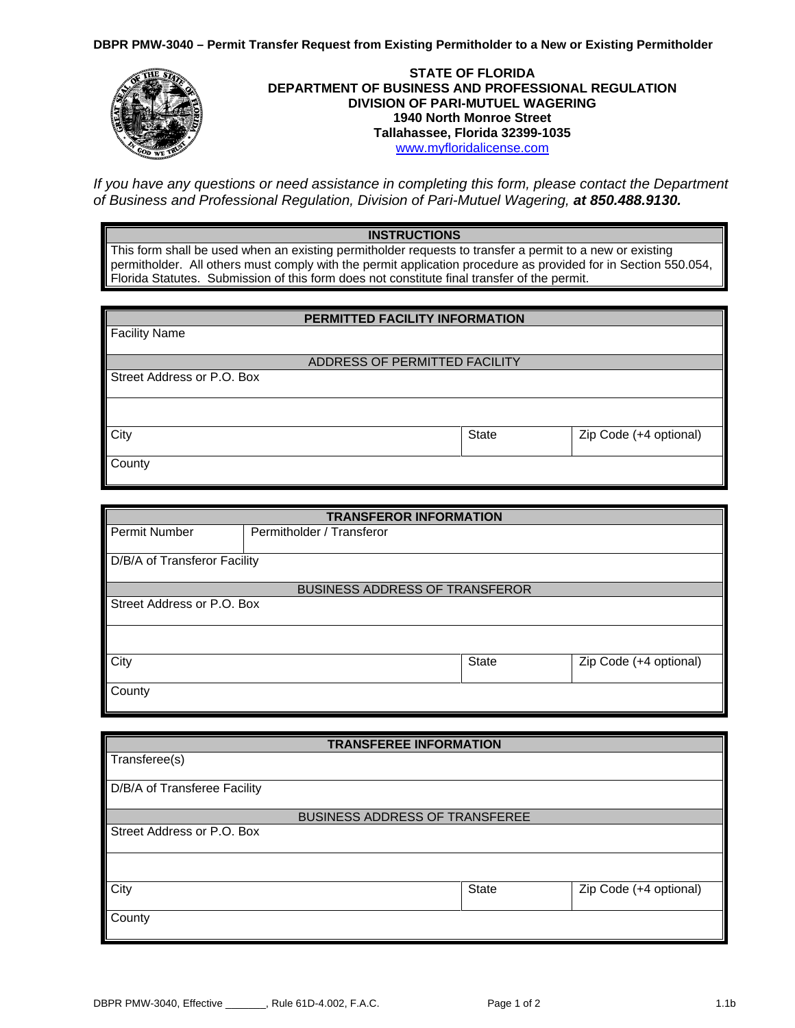**DBPR PMW-3040 – Permit Transfer Request from Existing Permitholder to a New or Existing Permitholder**



*If you have any questions or need assistance in completing this form, please contact the Department of Business and Professional Regulation, Division of Pari-Mutuel Wagering, at 850.488.9130.*

## **INSTRUCTIONS**

This form shall be used when an existing permitholder requests to transfer a permit to a new or existing permitholder. All others must comply with the permit application procedure as provided for in Section 550.054, Florida Statutes. Submission of this form does not constitute final transfer of the permit.

| PERMITTED FACILITY INFORMATION |              |                        |  |  |
|--------------------------------|--------------|------------------------|--|--|
| <b>Facility Name</b>           |              |                        |  |  |
| ADDRESS OF PERMITTED FACILITY  |              |                        |  |  |
| Street Address or P.O. Box     |              |                        |  |  |
|                                |              |                        |  |  |
| City                           | <b>State</b> | Zip Code (+4 optional) |  |  |
| County                         |              |                        |  |  |

| <b>TRANSFEROR INFORMATION</b> |                                       |              |                        |  |
|-------------------------------|---------------------------------------|--------------|------------------------|--|
| Permit Number                 | Permitholder / Transferor             |              |                        |  |
| D/B/A of Transferor Facility  |                                       |              |                        |  |
|                               |                                       |              |                        |  |
|                               | <b>BUSINESS ADDRESS OF TRANSFEROR</b> |              |                        |  |
| Street Address or P.O. Box    |                                       |              |                        |  |
|                               |                                       |              |                        |  |
| City                          |                                       | <b>State</b> | Zip Code (+4 optional) |  |
| County                        |                                       |              |                        |  |

| <b>TRANSFEREE INFORMATION</b>         |              |                        |  |  |
|---------------------------------------|--------------|------------------------|--|--|
| Transferee(s)                         |              |                        |  |  |
| D/B/A of Transferee Facility          |              |                        |  |  |
| <b>BUSINESS ADDRESS OF TRANSFEREE</b> |              |                        |  |  |
| Street Address or P.O. Box            |              |                        |  |  |
|                                       |              |                        |  |  |
| City                                  | <b>State</b> | Zip Code (+4 optional) |  |  |
| County                                |              |                        |  |  |